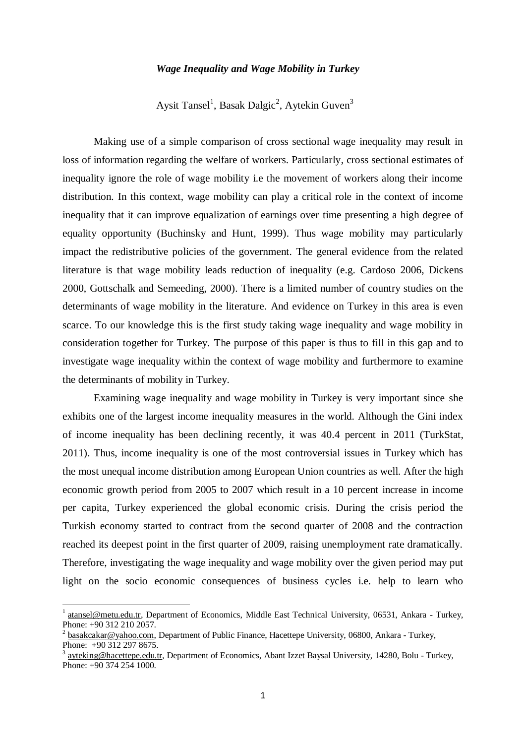## *Wage Inequality and Wage Mobility in Turkey*

Aysit Tansel<sup>1</sup>, Basak Dalgic<sup>2</sup>, Aytekin Guven<sup>3</sup>

Making use of a simple comparison of cross sectional wage inequality may result in loss of information regarding the welfare of workers. Particularly, cross sectional estimates of inequality ignore the role of wage mobility i.e the movement of workers along their income distribution. In this context, wage mobility can play a critical role in the context of income inequality that it can improve equalization of earnings over time presenting a high degree of equality opportunity (Buchinsky and Hunt, 1999). Thus wage mobility may particularly impact the redistributive policies of the government. The general evidence from the related literature is that wage mobility leads reduction of inequality (e.g. Cardoso 2006, Dickens 2000, Gottschalk and Semeeding, 2000). There is a limited number of country studies on the determinants of wage mobility in the literature. And evidence on Turkey in this area is even scarce. To our knowledge this is the first study taking wage inequality and wage mobility in consideration together for Turkey. The purpose of this paper is thus to fill in this gap and to investigate wage inequality within the context of wage mobility and furthermore to examine the determinants of mobility in Turkey.

Examining wage inequality and wage mobility in Turkey is very important since she exhibits one of the largest income inequality measures in the world. Although the Gini index of income inequality has been declining recently, it was 40.4 percent in 2011 (TurkStat, 2011). Thus, income inequality is one of the most controversial issues in Turkey which has the most unequal income distribution among European Union countries as well. After the high economic growth period from 2005 to 2007 which result in a 10 percent increase in income per capita, Turkey experienced the global economic crisis. During the crisis period the Turkish economy started to contract from the second quarter of 2008 and the contraction reached its deepest point in the first quarter of 2009, raising unemployment rate dramatically. Therefore, investigating the wage inequality and wage mobility over the given period may put light on the socio economic consequences of business cycles i.e. help to learn who

**.** 

<sup>1</sup> [atansel@metu.edu.tr,](mailto:atansel@metu.edu.tr) Department of Economics, Middle East Technical University, 06531, Ankara - Turkey, Phone: +90 312 210 2057.

<sup>&</sup>lt;sup>2</sup> [basakcakar@yahoo.com,](mailto:basakcakar@yahoo.com) Department of Public Finance, Hacettepe University, 06800, Ankara - Turkey, Phone: +90 312 297 8675.

<sup>&</sup>lt;sup>3</sup> [ayteking@hacettepe.edu.tr,](mailto:ayteking@hacettepe.edu.tr) Department of Economics, Abant Izzet Baysal University, 14280, Bolu - Turkey, Phone: +90 374 254 1000.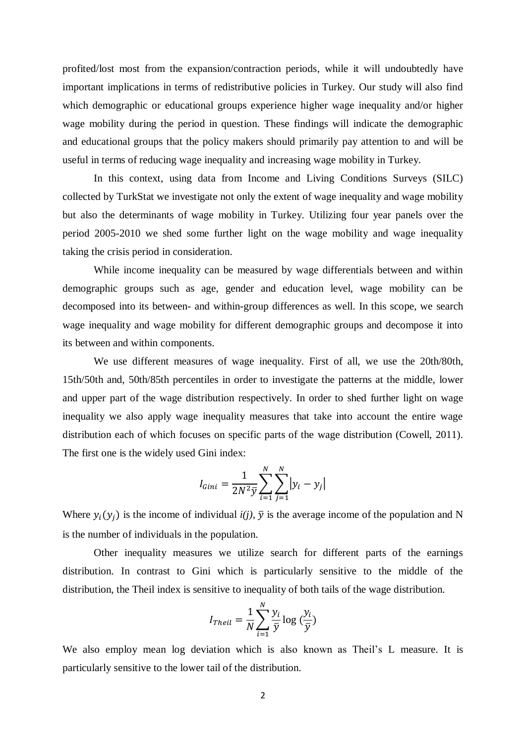profited/lost most from the expansion/contraction periods, while it will undoubtedly have important implications in terms of redistributive policies in Turkey. Our study will also find which demographic or educational groups experience higher wage inequality and/or higher wage mobility during the period in question. These findings will indicate the demographic and educational groups that the policy makers should primarily pay attention to and will be useful in terms of reducing wage inequality and increasing wage mobility in Turkey.

In this context, using data from Income and Living Conditions Surveys (SILC) collected by TurkStat we investigate not only the extent of wage inequality and wage mobility but also the determinants of wage mobility in Turkey. Utilizing four year panels over the period 2005-2010 we shed some further light on the wage mobility and wage inequality taking the crisis period in consideration.

While income inequality can be measured by wage differentials between and within demographic groups such as age, gender and education level, wage mobility can be decomposed into its between- and within-group differences as well. In this scope, we search wage inequality and wage mobility for different demographic groups and decompose it into its between and within components.

We use different measures of wage inequality. First of all, we use the 20th/80th, 15th/50th and, 50th/85th percentiles in order to investigate the patterns at the middle, lower and upper part of the wage distribution respectively. In order to shed further light on wage inequality we also apply wage inequality measures that take into account the entire wage distribution each of which focuses on specific parts of the wage distribution (Cowell, 2011). The first one is the widely used Gini index:

$$
I_{Gini} = \frac{1}{2N^2 \bar{y}} \sum_{i=1}^{N} \sum_{j=1}^{N} |y_i - y_j|
$$

Where  $y_i(y_i)$  is the income of individual  $i(j)$ ,  $\bar{y}$  is the average income of the population and N is the number of individuals in the population.

Other inequality measures we utilize search for different parts of the earnings distribution. In contrast to Gini which is particularly sensitive to the middle of the distribution, the Theil index is sensitive to inequality of both tails of the wage distribution.

$$
I_{Theil} = \frac{1}{N} \sum_{i=1}^{N} \frac{y_i}{\bar{y}} \log \left(\frac{y_i}{\bar{y}}\right)
$$

We also employ mean log deviation which is also known as Theil's L measure. It is particularly sensitive to the lower tail of the distribution.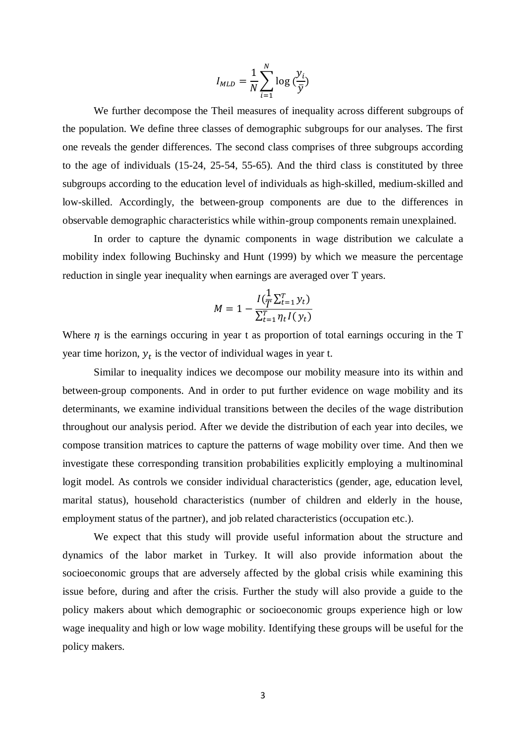$$
I_{MLD} = \frac{1}{N} \sum_{i=1}^{N} \log \left(\frac{y_i}{\bar{y}}\right)
$$

We further decompose the Theil measures of inequality across different subgroups of the population. We define three classes of demographic subgroups for our analyses. The first one reveals the gender differences. The second class comprises of three subgroups according to the age of individuals (15-24, 25-54, 55-65). And the third class is constituted by three subgroups according to the education level of individuals as high-skilled, medium-skilled and low-skilled. Accordingly, the between-group components are due to the differences in observable demographic characteristics while within-group components remain unexplained.

In order to capture the dynamic components in wage distribution we calculate a mobility index following Buchinsky and Hunt (1999) by which we measure the percentage reduction in single year inequality when earnings are averaged over T years.

$$
M = 1 - \frac{I(\frac{1}{T}\Sigma_{t=1}^T y_t)}{\Sigma_{t=1}^T \eta_t I(y_t)}
$$

Where  $\eta$  is the earnings occuring in year t as proportion of total earnings occuring in the T year time horizon,  $y_t$  is the vector of individual wages in year t.

Similar to inequality indices we decompose our mobility measure into its within and between-group components. And in order to put further evidence on wage mobility and its determinants, we examine individual transitions between the deciles of the wage distribution throughout our analysis period. After we devide the distribution of each year into deciles, we compose transition matrices to capture the patterns of wage mobility over time. And then we investigate these corresponding transition probabilities explicitly employing a multinominal logit model. As controls we consider individual characteristics (gender, age, education level, marital status), household characteristics (number of children and elderly in the house, employment status of the partner), and job related characteristics (occupation etc.).

We expect that this study will provide useful information about the structure and dynamics of the labor market in Turkey. It will also provide information about the socioeconomic groups that are adversely affected by the global crisis while examining this issue before, during and after the crisis. Further the study will also provide a guide to the policy makers about which demographic or socioeconomic groups experience high or low wage inequality and high or low wage mobility. Identifying these groups will be useful for the policy makers.